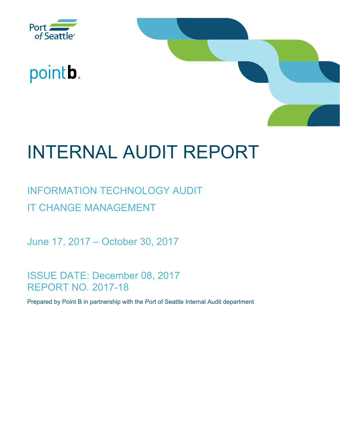

# pointb.



# INTERNAL AUDIT REPORT

# INFORMATION TECHNOLOGY AUDIT IT CHANGE MANAGEMENT

June 17, 2017 – October 30, 2017

ISSUE DATE: December 08, 2017 REPORT NO. 2017-18

Prepared by Point B in partnership with the Port of Seattle Internal Audit department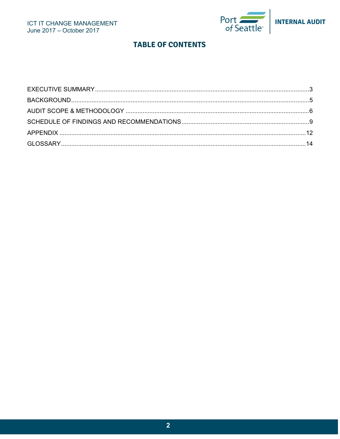

# **TABLE OF CONTENTS**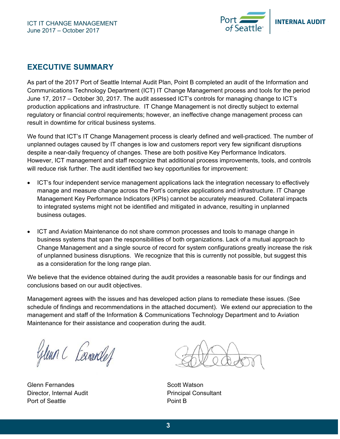

# **EXECUTIVE SUMMARY**

As part of the 2017 Port of Seattle Internal Audit Plan, Point B completed an audit of the Information and Communications Technology Department (ICT) IT Change Management process and tools for the period June 17, 2017 – October 30, 2017. The audit assessed ICT's controls for managing change to ICT's production applications and infrastructure. IT Change Management is not directly subject to external regulatory or financial control requirements; however, an ineffective change management process can result in downtime for critical business systems.

We found that ICT's IT Change Management process is clearly defined and well-practiced. The number of unplanned outages caused by IT changes is low and customers report very few significant disruptions despite a near-daily frequency of changes. These are both positive Key Performance Indicators. However, ICT management and staff recognize that additional process improvements, tools, and controls will reduce risk further. The audit identified two key opportunities for improvement:

- ICT's four independent service management applications lack the integration necessary to effectively manage and measure change across the Port's complex applications and infrastructure. IT Change Management Key Performance Indicators (KPIs) cannot be accurately measured. Collateral impacts to integrated systems might not be identified and mitigated in advance, resulting in unplanned business outages.
- ICT and Aviation Maintenance do not share common processes and tools to manage change in business systems that span the responsibilities of both organizations. Lack of a mutual approach to Change Management and a single source of record for system configurations greatly increase the risk of unplanned business disruptions. We recognize that this is currently not possible, but suggest this as a consideration for the long range plan.

We believe that the evidence obtained during the audit provides a reasonable basis for our findings and conclusions based on our audit objectives.

Management agrees with the issues and has developed action plans to remediate these issues. (See schedule of findings and recommendations in the attached document). We extend our appreciation to the management and staff of the Information & Communications Technology Department and to Aviation Maintenance for their assistance and cooperation during the audit.

Glenn C Ferranded

Glenn Fernandes Scott Watson Director, Internal Audit **Principal Consultant** Port of Seattle **Point B**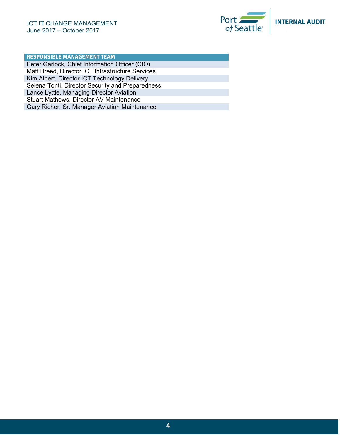

## **RESPONSIBLE MANAGEMENT TEAM**

Peter Garlock, Chief Information Officer (CIO) Matt Breed, Director ICT Infrastructure Services Kim Albert, Director ICT Technology Delivery Selena Tonti, Director Security and Preparedness Lance Lyttle, Managing Director Aviation Stuart Mathews, Director AV Maintenance Gary Richer, Sr. Manager Aviation Maintenance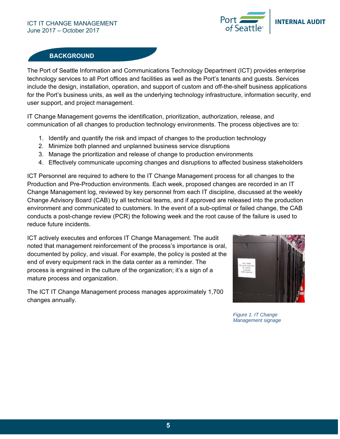

# **BACKGROUND**

The Port of Seattle Information and Communications Technology Department (ICT) provides enterprise technology services to all Port offices and facilities as well as the Port's tenants and guests. Services include the design, installation, operation, and support of custom and off-the-shelf business applications for the Port's business units, as well as the underlying technology infrastructure, information security, end user support, and project management.

IT Change Management governs the identification, prioritization, authorization, release, and communication of all changes to production technology environments. The process objectives are to:

- 1. Identify and quantify the risk and impact of changes to the production technology
- 2. Minimize both planned and unplanned business service disruptions
- 3. Manage the prioritization and release of change to production environments
- 4. Effectively communicate upcoming changes and disruptions to affected business stakeholders

ICT Personnel are required to adhere to the IT Change Management process for all changes to the Production and Pre-Production environments. Each week, proposed changes are recorded in an IT Change Management log, reviewed by key personnel from each IT discipline, discussed at the weekly Change Advisory Board (CAB) by all technical teams, and if approved are released into the production environment and communicated to customers. In the event of a sub-optimal or failed change, the CAB conducts a post-change review (PCR) the following week and the root cause of the failure is used to reduce future incidents.

ICT actively executes and enforces IT Change Management. The audit noted that management reinforcement of the process's importance is oral, documented by policy, and visual. For example, the policy is posted at the end of every equipment rack in the data center as a reminder. The process is engrained in the culture of the organization; it's a sign of a mature process and organization.

The ICT IT Change Management process manages approximately 1,700 changes annually.



*Figure 1. IT Change Management signage*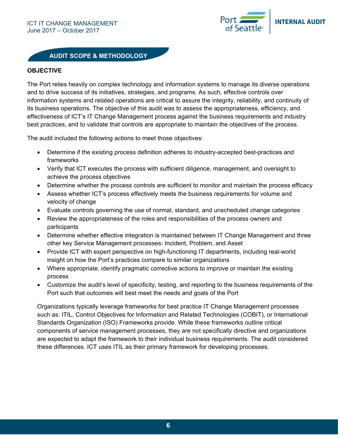

# **AUDIT SCOPE & METHODOLOGY**

#### **OBJECTIVE**

The Port relies heavily on complex technology and information systems to manage its diverse operations and to drive success of its initiatives, strategies, and programs. As such, effective controls over information systems and related operations are critical to assure the integrity, reliability, and continuity of its business operations. The objective of this audit was to assess the appropriateness, efficiency, and effectiveness of ICT's IT Change Management process against the business requirements and industry best practices, and to validate that controls are appropriate to maintain the objectives of the process.

The audit included the following actions to meet those objectives:

- Determine if the existing process definition adheres to industry-accepted best-practices and frameworks
- Verify that ICT executes the process with sufficient diligence, management, and oversight to achieve the process objectives
- Determine whether the process controls are sufficient to monitor and maintain the process efficacy
- Assess whether ICT's process effectively meets the business requirements for volume and velocity of change
- Evaluate controls governing the use of normal, standard, and unscheduled change categories
- Review the appropriateness of the roles and responsibilities of the process owners and participants
- Determine whether effective integration is maintained between IT Change Management and three other key Service Management processes: Incident, Problem, and Asset
- Provide ICT with expert perspective on high-functioning IT departments, including real-world insight on how the Port's practices compare to similar organizations
- Where appropriate, identify pragmatic corrective actions to improve or maintain the existing process
- Customize the audit's level of specificity, testing, and reporting to the business requirements of the Port such that outcomes will best meet the needs and goals of the Port

Organizations typically leverage frameworks for best practice IT Change Management processes such as: ITIL, Control Objectives for Information and Related Technologies (COBIT), or International Standards Organization (ISO) Frameworks provide. While these frameworks outline critical components of service management processes, they are not specifically directive and organizations are expected to adapt the framework to their individual business requirements. The audit considered these differences. ICT uses ITIL as their primary framework for developing processes.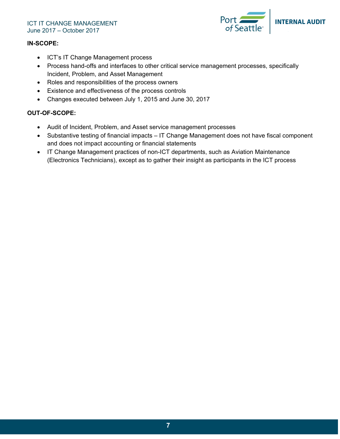

### **IN-SCOPE:**

- ICT's IT Change Management process
- Process hand-offs and interfaces to other critical service management processes, specifically Incident, Problem, and Asset Management
- Roles and responsibilities of the process owners
- Existence and effectiveness of the process controls
- Changes executed between July 1, 2015 and June 30, 2017

# **OUT-OF-SCOPE:**

- Audit of Incident, Problem, and Asset service management processes
- Substantive testing of financial impacts IT Change Management does not have fiscal component and does not impact accounting or financial statements
- IT Change Management practices of non-ICT departments, such as Aviation Maintenance (Electronics Technicians), except as to gather their insight as participants in the ICT process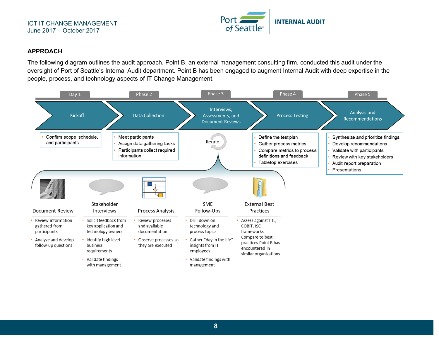

### **APPROACH**

The following diagram outlines the audit approach. Point B, an external management consulting firm, conducted this audit under the oversight of Port of Seattle's Internal Audit department. Point B has been engaged to augment Internal Audit with deep expertise in the people, process, and technology aspects of IT Change Management.

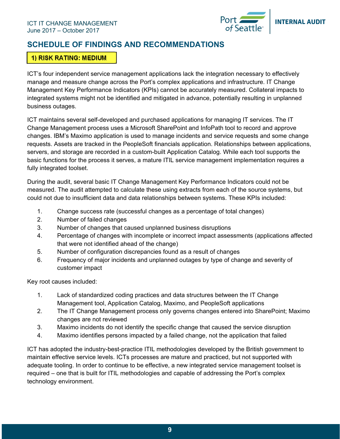

# **SCHEDULE OF FINDINGS AND RECOMMENDATIONS**

# **1) RISK RATING: MEDIUM**

ICT's four independent service management applications lack the integration necessary to effectively manage and measure change across the Port's complex applications and infrastructure. IT Change Management Key Performance Indicators (KPIs) cannot be accurately measured. Collateral impacts to integrated systems might not be identified and mitigated in advance, potentially resulting in unplanned business outages.

ICT maintains several self-developed and purchased applications for managing IT services. The IT Change Management process uses a Microsoft SharePoint and InfoPath tool to record and approve changes. IBM's Maximo application is used to manage incidents and service requests and some change requests. Assets are tracked in the PeopleSoft financials application. Relationships between applications, servers, and storage are recorded in a custom-built Application Catalog. While each tool supports the basic functions for the process it serves, a mature ITIL service management implementation requires a fully integrated toolset.

During the audit, several basic IT Change Management Key Performance Indicators could not be measured. The audit attempted to calculate these using extracts from each of the source systems, but could not due to insufficient data and data relationships between systems. These KPIs included:

- 1. Change success rate (successful changes as a percentage of total changes)
- 2. Number of failed changes
- 3. Number of changes that caused unplanned business disruptions
- 4. Percentage of changes with incomplete or incorrect impact assessments (applications affected that were not identified ahead of the change)
- 5. Number of configuration discrepancies found as a result of changes
- 6. Frequency of major incidents and unplanned outages by type of change and severity of customer impact

Key root causes included:

- 1. Lack of standardized coding practices and data structures between the IT Change Management tool, Application Catalog, Maximo, and PeopleSoft applications
- 2. The IT Change Management process only governs changes entered into SharePoint; Maximo changes are not reviewed
- 3. Maximo incidents do not identify the specific change that caused the service disruption
- 4. Maximo identifies persons impacted by a failed change, not the application that failed

ICT has adopted the industry-best-practice ITIL methodologies developed by the British government to maintain effective service levels. ICTs processes are mature and practiced, but not supported with adequate tooling. In order to continue to be effective, a new integrated service management toolset is required – one that is built for ITIL methodologies and capable of addressing the Port's complex technology environment.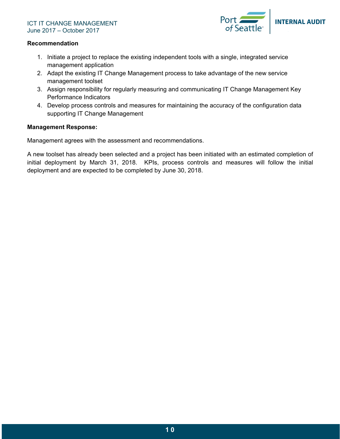

#### **Recommendation**

- 1. Initiate a project to replace the existing independent tools with a single, integrated service management application
- 2. Adapt the existing IT Change Management process to take advantage of the new service management toolset
- 3. Assign responsibility for regularly measuring and communicating IT Change Management Key Performance Indicators
- 4. Develop process controls and measures for maintaining the accuracy of the configuration data supporting IT Change Management

### **Management Response:**

Management agrees with the assessment and recommendations.

A new toolset has already been selected and a project has been initiated with an estimated completion of initial deployment by March 31, 2018. KPIs, process controls and measures will follow the initial deployment and are expected to be completed by June 30, 2018.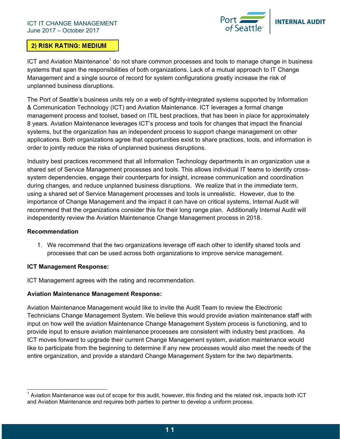

# **2) RISK RATING: MEDIUM**

ICT and Aviation Maintenance<sup>1</sup> do not share common processes and tools to manage change in business systems that span the responsibilities of both organizations. Lack of a mutual approach to IT Change Management and a single source of record for system configurations greatly increase the risk of unplanned business disruptions.

The Port of Seattle's business units rely on a web of tightly-integrated systems supported by Information & Communication Technology (ICT) and Aviation Maintenance. ICT leverages a formal change management process and toolset, based on ITIL best practices, that has been in place for approximately 8 years. Aviation Maintenance leverages ICT's process and tools for changes that impact the financial systems, but the organization has an independent process to support change management on other applications. Both organizations agree that opportunities exist to share practices, tools, and information in order to jointly reduce the risks of unplanned business disruptions.

Industry best practices recommend that all Information Technology departments in an organization use a shared set of Service Management processes and tools. This allows individual IT teams to identify crosssystem dependencies, engage their counterparts for insight, increase communication and coordination during changes, and reduce unplanned business disruptions. We realize that in the immediate term, using a shared set of Service Management processes and tools is unrealistic. However, due to the importance of Change Management and the impact it can have on critical systems, Internal Audit will recommend that the organizations consider this for their long range plan. Additionally Internal Audit will independently review the Aviation Maintenance Change Management process in 2018.

# **Recommendation**

 $\overline{a}$ 

1. We recommend that the two organizations leverage off each other to identify shared tools and processes that can be used across both organizations to improve service management.

# **ICT Management Response:**

ICT Management agrees with the rating and recommendation.

# **Aviation Maintenance Management Response:**

Aviation Maintenance Management would like to invite the Audit Team to review the Electronic Technicians Change Management System. We believe this would provide aviation maintenance staff with input on how well the aviation Maintenance Change Management System process is functioning, and to provide input to ensure aviation maintenance processes are consistent with industry best practices. As ICT moves forward to upgrade their current Change Management system, aviation maintenance would like to participate from the beginning to determine if any new processes would also meet the needs of the entire organization, and provide a standard Change Management System for the two departments.

 $^{\text{1}}$  Aviation Maintenance was out of scope for this audit, however, this finding and the related risk, impacts both ICT and Aviation Maintenance and requires both parties to partner to develop a uniform process.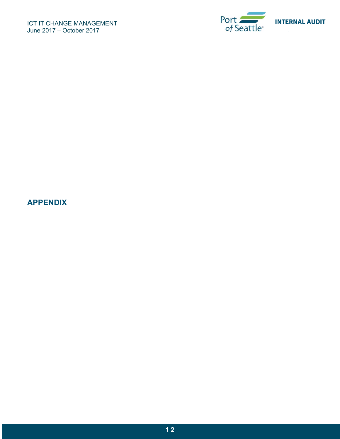

# **APPENDIX**

**1 2**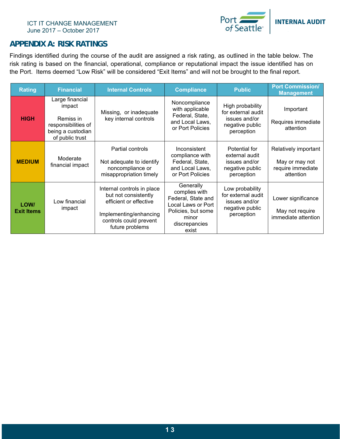

# **APPENDIX A: RISK RATINGS**

Findings identified during the course of the audit are assigned a risk rating, as outlined in the table below. The risk rating is based on the financial, operational, compliance or reputational impact the issue identified has on the Port. Items deemed "Low Risk" will be considered "Exit Items" and will not be brought to the final report.

| <b>Rating</b>             | <b>Financial</b>                                                                                      | <b>Internal Controls</b>                                                                                                                            | <b>Compliance</b>                                                                                                               | <b>Public</b>                                                                            | <b>Port Commission/</b><br><b>Management</b>                             |
|---------------------------|-------------------------------------------------------------------------------------------------------|-----------------------------------------------------------------------------------------------------------------------------------------------------|---------------------------------------------------------------------------------------------------------------------------------|------------------------------------------------------------------------------------------|--------------------------------------------------------------------------|
| <b>HIGH</b>               | Large financial<br>impact<br>Remiss in<br>responsibilities of<br>being a custodian<br>of public trust | Missing, or inadequate<br>key internal controls                                                                                                     | Noncompliance<br>with applicable<br>Federal, State,<br>and Local Laws,<br>or Port Policies                                      | High probability<br>for external audit<br>issues and/or<br>negative public<br>perception | Important<br>Requires immediate<br>attention                             |
| <b>MEDIUM</b>             | Moderate<br>financial impact                                                                          | Partial controls<br>Not adequate to identify<br>noncompliance or<br>misappropriation timely                                                         | Inconsistent<br>compliance with<br>Federal, State,<br>and Local Laws,<br>or Port Policies                                       | Potential for<br>external audit<br>issues and/or<br>negative public<br>perception        | Relatively important<br>May or may not<br>require immediate<br>attention |
| LOW/<br><b>Exit Items</b> | Low financial<br>impact                                                                               | Internal controls in place<br>but not consistently<br>efficient or effective<br>Implementing/enhancing<br>controls could prevent<br>future problems | Generally<br>complies with<br>Federal, State and<br>Local Laws or Port<br>Policies, but some<br>minor<br>discrepancies<br>exist | Low probability<br>for external audit<br>issues and/or<br>negative public<br>perception  | Lower significance<br>May not require<br>immediate attention             |